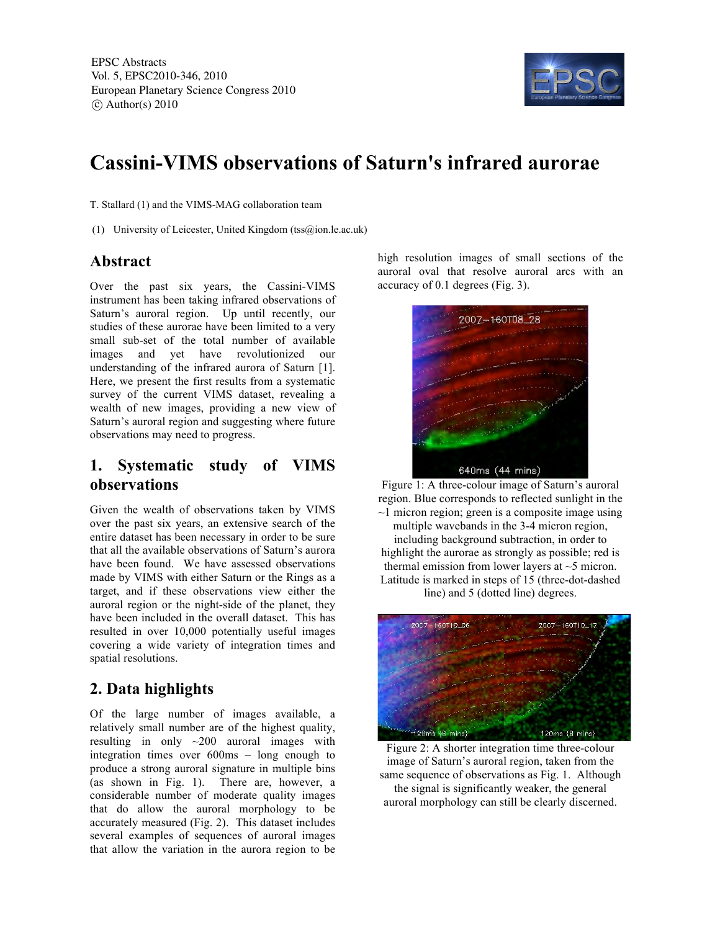

# **Cassini-VIMS observations of Saturn's infrared aurorae**

T. Stallard (1) and the VIMS-MAG collaboration team

(1) University of Leicester, United Kingdom (tss@ion.le.ac.uk)

#### **Abstract**

Over the past six years, the Cassini-VIMS instrument has been taking infrared observations of Saturn's auroral region. Up until recently, our studies of these aurorae have been limited to a very small sub-set of the total number of available images and yet have revolutionized our understanding of the infrared aurora of Saturn [1]. Here, we present the first results from a systematic survey of the current VIMS dataset, revealing a wealth of new images, providing a new view of Saturn's auroral region and suggesting where future observations may need to progress.

### **1. Systematic study of VIMS observations**

Given the wealth of observations taken by VIMS over the past six years, an extensive search of the entire dataset has been necessary in order to be sure that all the available observations of Saturn's aurora have been found. We have assessed observations made by VIMS with either Saturn or the Rings as a target, and if these observations view either the auroral region or the night-side of the planet, they have been included in the overall dataset. This has resulted in over 10,000 potentially useful images covering a wide variety of integration times and spatial resolutions.

# **2. Data highlights**

Of the large number of images available, a relatively small number are of the highest quality, resulting in only ~200 auroral images with integration times over 600ms – long enough to produce a strong auroral signature in multiple bins (as shown in Fig. 1). There are, however, a considerable number of moderate quality images that do allow the auroral morphology to be accurately measured (Fig. 2). This dataset includes several examples of sequences of auroral images that allow the variation in the aurora region to be

high resolution images of small sections of the auroral oval that resolve auroral arcs with an accuracy of 0.1 degrees (Fig. 3).



Figure 1: A three-colour image of Saturn's auroral region. Blue corresponds to reflected sunlight in the  $\sim$ 1 micron region; green is a composite image using multiple wavebands in the 3-4 micron region, including background subtraction, in order to highlight the aurorae as strongly as possible; red is thermal emission from lower layers at ~5 micron. Latitude is marked in steps of 15 (three-dot-dashed line) and 5 (dotted line) degrees.



Figure 2: A shorter integration time three-colour image of Saturn's auroral region, taken from the same sequence of observations as Fig. 1. Although the signal is significantly weaker, the general auroral morphology can still be clearly discerned.